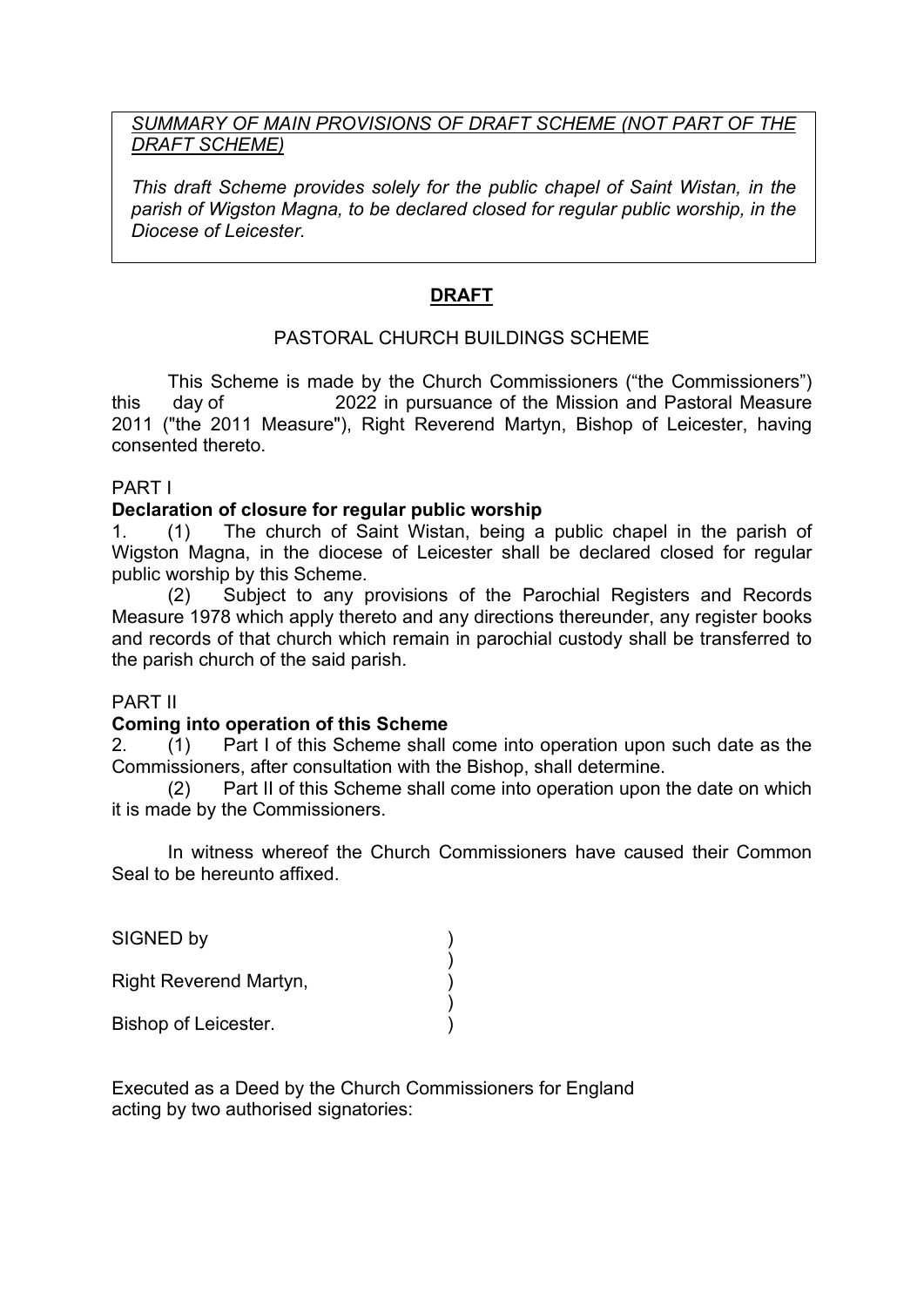## *SUMMARY OF MAIN PROVISIONS OF DRAFT SCHEME (NOT PART OF THE DRAFT SCHEME)*

*This draft Scheme provides solely for the public chapel of Saint Wistan, in the parish of Wigston Magna, to be declared closed for regular public worship, in the Diocese of Leicester.* 

# **DRAFT**

# PASTORAL CHURCH BUILDINGS SCHEME

This Scheme is made by the Church Commissioners ("the Commissioners") this day of 2022 in pursuance of the Mission and Pastoral Measure 2011 ("the 2011 Measure"), Right Reverend Martyn, Bishop of Leicester, having consented thereto.

### PART I

### **Declaration of closure for regular public worship**

1. (1) The church of Saint Wistan, being a public chapel in the parish of Wigston Magna, in the diocese of Leicester shall be declared closed for regular public worship by this Scheme.

(2) Subject to any provisions of the Parochial Registers and Records Measure 1978 which apply thereto and any directions thereunder, any register books and records of that church which remain in parochial custody shall be transferred to the parish church of the said parish.

### PART II

#### **Coming into operation of this Scheme**

)

2. (1) Part I of this Scheme shall come into operation upon such date as the Commissioners, after consultation with the Bishop, shall determine.

(2) Part II of this Scheme shall come into operation upon the date on which it is made by the Commissioners.

In witness whereof the Church Commissioners have caused their Common Seal to be hereunto affixed.

SIGNED by

Right Reverend Martyn, )

 ) Bishop of Leicester. )

Executed as a Deed by the Church Commissioners for England acting by two authorised signatories: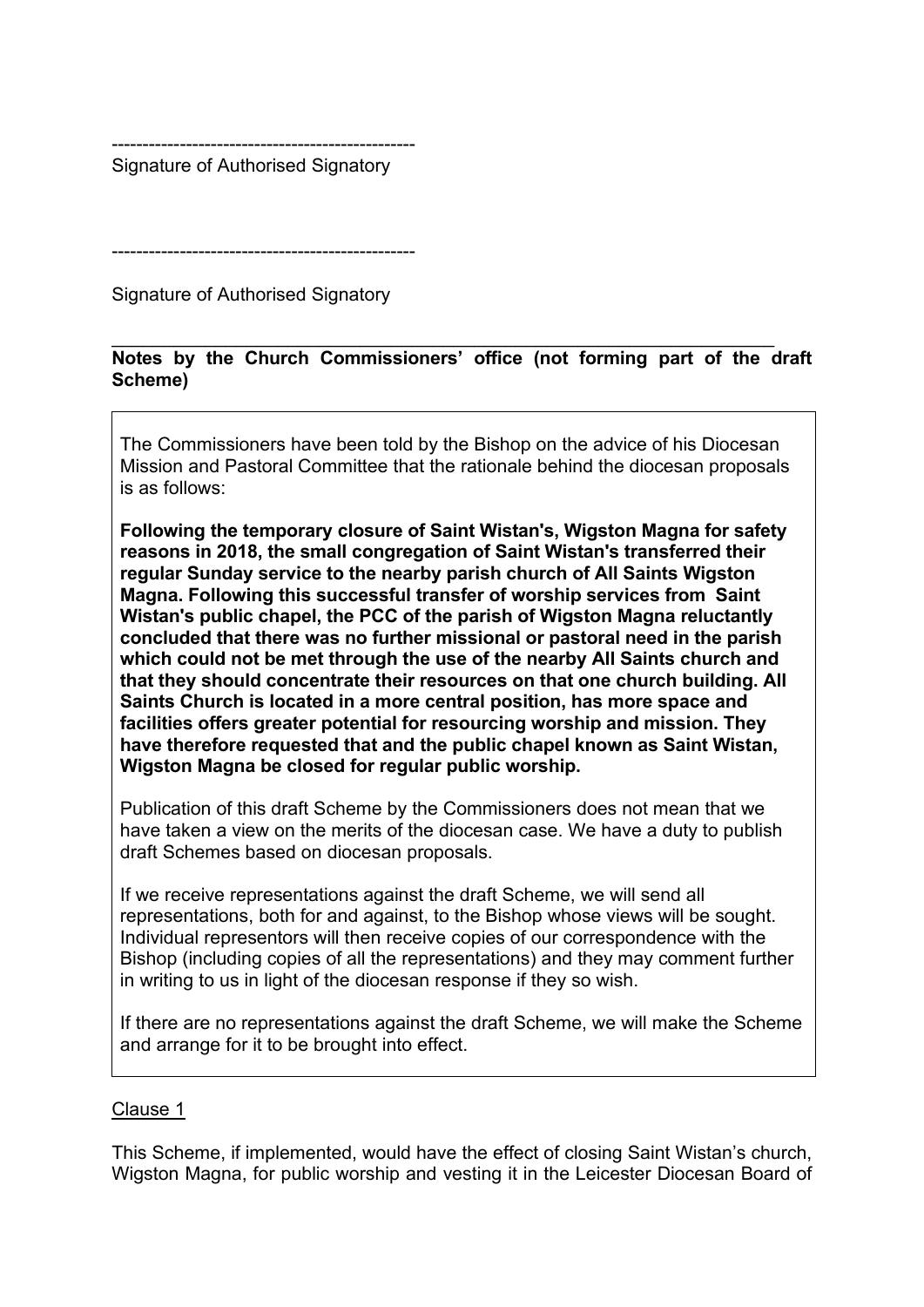------------------------------------------------- Signature of Authorised Signatory

-------------------------------------------------

Signature of Authorised Signatory

#### \_\_\_\_\_\_\_\_\_\_\_\_\_\_\_\_\_\_\_\_\_\_\_\_\_\_\_\_\_\_\_\_\_\_\_\_\_\_\_\_\_\_\_\_\_\_\_\_\_\_\_\_\_\_\_\_\_\_\_\_\_\_\_\_ **Notes by the Church Commissioners' office (not forming part of the draft Scheme)**

The Commissioners have been told by the Bishop on the advice of his Diocesan Mission and Pastoral Committee that the rationale behind the diocesan proposals is as follows:

**Following the temporary closure of Saint Wistan's, Wigston Magna for safety reasons in 2018, the small congregation of Saint Wistan's transferred their regular Sunday service to the nearby parish church of All Saints Wigston Magna. Following this successful transfer of worship services from Saint Wistan's public chapel, the PCC of the parish of Wigston Magna reluctantly concluded that there was no further missional or pastoral need in the parish which could not be met through the use of the nearby All Saints church and that they should concentrate their resources on that one church building. All Saints Church is located in a more central position, has more space and facilities offers greater potential for resourcing worship and mission. They have therefore requested that and the public chapel known as Saint Wistan, Wigston Magna be closed for regular public worship.**

Publication of this draft Scheme by the Commissioners does not mean that we have taken a view on the merits of the diocesan case. We have a duty to publish draft Schemes based on diocesan proposals.

If we receive representations against the draft Scheme, we will send all representations, both for and against, to the Bishop whose views will be sought. Individual representors will then receive copies of our correspondence with the Bishop (including copies of all the representations) and they may comment further in writing to us in light of the diocesan response if they so wish.

If there are no representations against the draft Scheme, we will make the Scheme and arrange for it to be brought into effect.

#### Clause 1

This Scheme, if implemented, would have the effect of closing Saint Wistan's church, Wigston Magna, for public worship and vesting it in the Leicester Diocesan Board of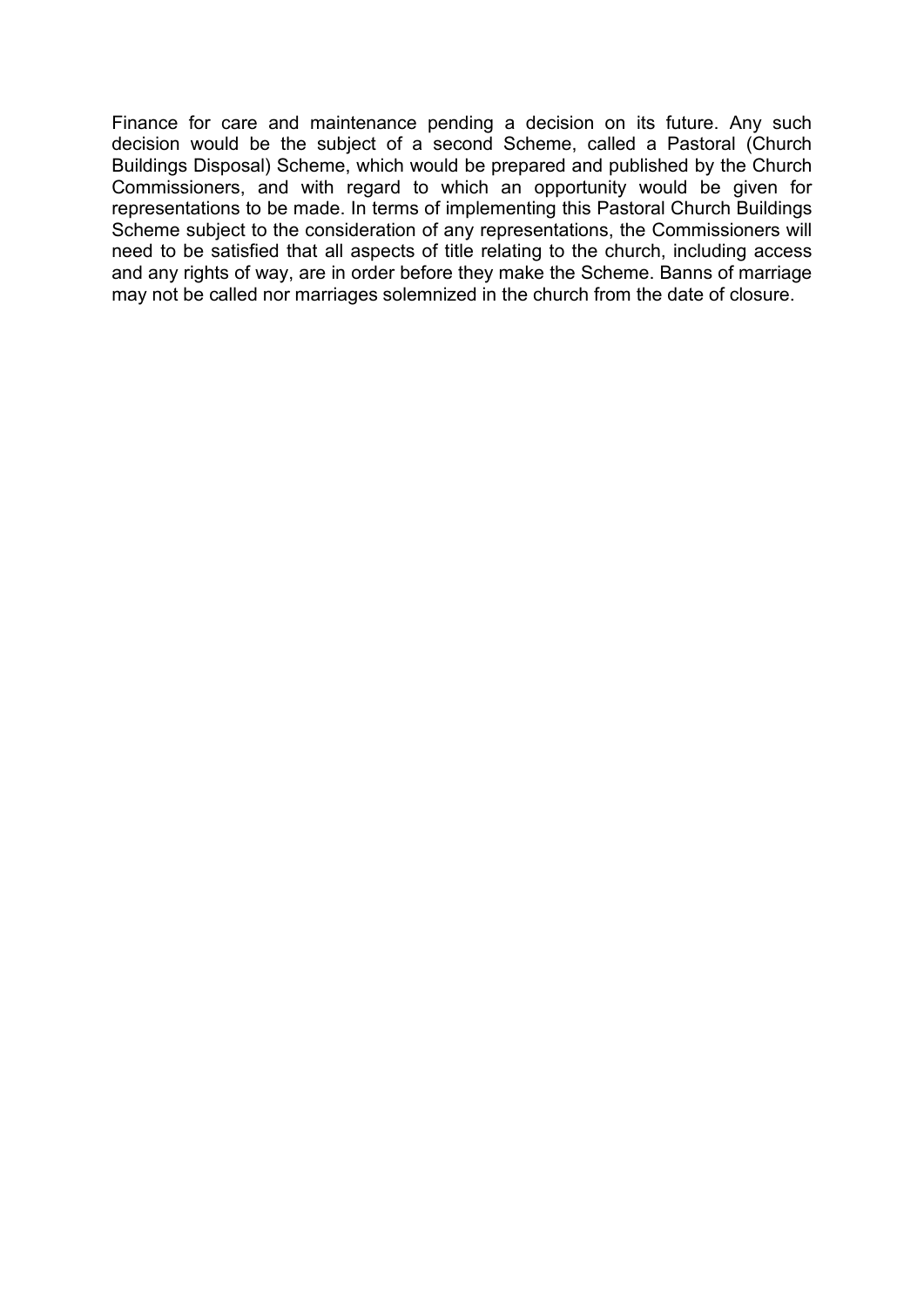Finance for care and maintenance pending a decision on its future. Any such decision would be the subject of a second Scheme, called a Pastoral (Church Buildings Disposal) Scheme, which would be prepared and published by the Church Commissioners, and with regard to which an opportunity would be given for representations to be made. In terms of implementing this Pastoral Church Buildings Scheme subject to the consideration of any representations, the Commissioners will need to be satisfied that all aspects of title relating to the church, including access and any rights of way, are in order before they make the Scheme. Banns of marriage may not be called nor marriages solemnized in the church from the date of closure.